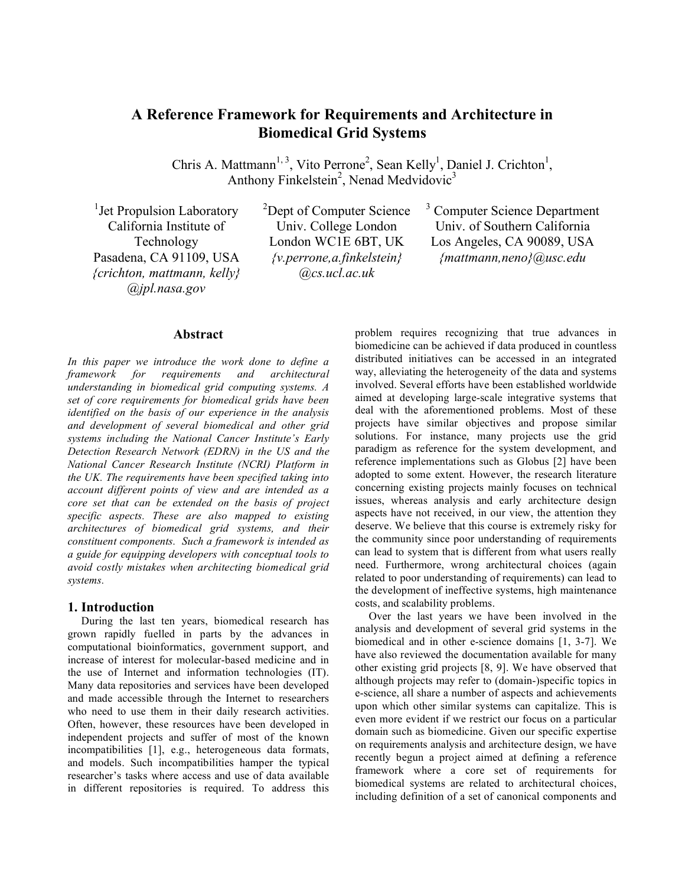# **A Reference Framework for Requirements and Architecture in Biomedical Grid Systems**

Chris A. Mattmann<sup>1, 3</sup>, Vito Perrone<sup>2</sup>, Sean Kelly<sup>1</sup>, Daniel J. Crichton<sup>1</sup>, Anthony Finkelstein<sup>2</sup>, Nenad Medvidovic<sup>3</sup>

<sup>1</sup>Jet Propulsion Laboratory California Institute of Technology Pasadena, CA 91109, USA *{crichton, mattmann, kelly} @jpl.nasa.gov*

<sup>2</sup>Dept of Computer Science Univ. College London London WC1E 6BT, UK *{v.perrone,a.finkelstein} @cs.ucl.ac.uk*

<sup>3</sup> Computer Science Department Univ. of Southern California Los Angeles, CA 90089, USA *{mattmann,neno}@usc.edu*

### **Abstract**

*In this paper we introduce the work done to define a framework for requirements and architectural understanding in biomedical grid computing systems. A set of core requirements for biomedical grids have been identified on the basis of our experience in the analysis and development of several biomedical and other grid systems including the National Cancer Institute's Early Detection Research Network (EDRN) in the US and the National Cancer Research Institute (NCRI) Platform in the UK. The requirements have been specified taking into account different points of view and are intended as a core set that can be extended on the basis of project specific aspects. These are also mapped to existing architectures of biomedical grid systems, and their constituent components. Such a framework is intended as a guide for equipping developers with conceptual tools to avoid costly mistakes when architecting biomedical grid systems.*

### **1. Introduction**

During the last ten years, biomedical research has grown rapidly fuelled in parts by the advances in computational bioinformatics, government support, and increase of interest for molecular-based medicine and in the use of Internet and information technologies (IT). Many data repositories and services have been developed and made accessible through the Internet to researchers who need to use them in their daily research activities. Often, however, these resources have been developed in independent projects and suffer of most of the known incompatibilities [1], e.g., heterogeneous data formats, and models. Such incompatibilities hamper the typical researcher's tasks where access and use of data available in different repositories is required. To address this problem requires recognizing that true advances in biomedicine can be achieved if data produced in countless distributed initiatives can be accessed in an integrated way, alleviating the heterogeneity of the data and systems involved. Several efforts have been established worldwide aimed at developing large-scale integrative systems that deal with the aforementioned problems. Most of these projects have similar objectives and propose similar solutions. For instance, many projects use the grid paradigm as reference for the system development, and reference implementations such as Globus [2] have been adopted to some extent. However, the research literature concerning existing projects mainly focuses on technical issues, whereas analysis and early architecture design aspects have not received, in our view, the attention they deserve. We believe that this course is extremely risky for the community since poor understanding of requirements can lead to system that is different from what users really need. Furthermore, wrong architectural choices (again related to poor understanding of requirements) can lead to the development of ineffective systems, high maintenance costs, and scalability problems.

Over the last years we have been involved in the analysis and development of several grid systems in the biomedical and in other e-science domains [1, 3-7]. We have also reviewed the documentation available for many other existing grid projects [8, 9]. We have observed that although projects may refer to (domain-)specific topics in e-science, all share a number of aspects and achievements upon which other similar systems can capitalize. This is even more evident if we restrict our focus on a particular domain such as biomedicine. Given our specific expertise on requirements analysis and architecture design, we have recently begun a project aimed at defining a reference framework where a core set of requirements for biomedical systems are related to architectural choices, including definition of a set of canonical components and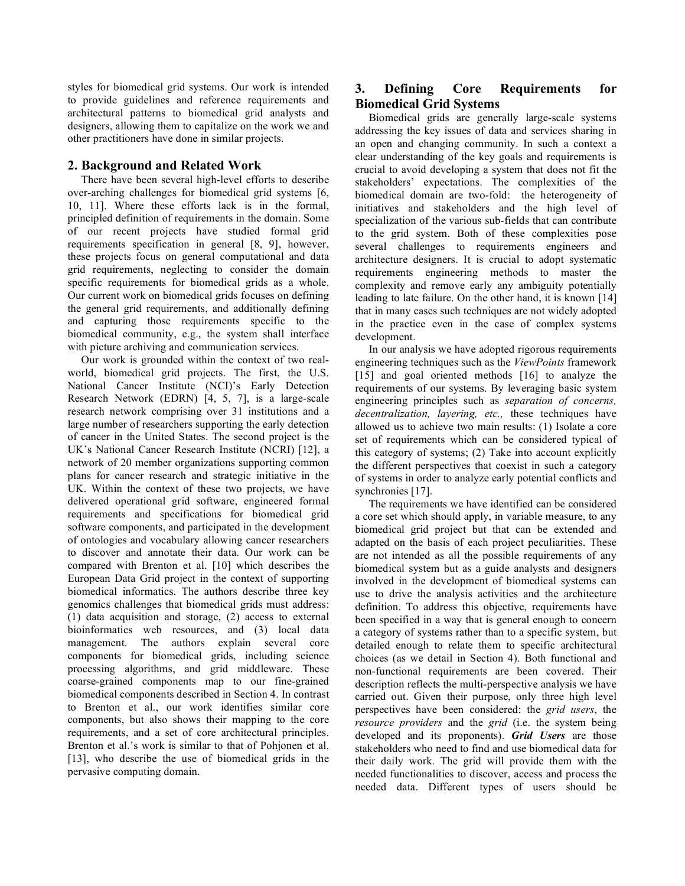styles for biomedical grid systems. Our work is intended to provide guidelines and reference requirements and architectural patterns to biomedical grid analysts and designers, allowing them to capitalize on the work we and other practitioners have done in similar projects.

## **2. Background and Related Work**

There have been several high-level efforts to describe over-arching challenges for biomedical grid systems [6, 10, 11]. Where these efforts lack is in the formal, principled definition of requirements in the domain. Some of our recent projects have studied formal grid requirements specification in general [8, 9], however, these projects focus on general computational and data grid requirements, neglecting to consider the domain specific requirements for biomedical grids as a whole. Our current work on biomedical grids focuses on defining the general grid requirements, and additionally defining and capturing those requirements specific to the biomedical community, e.g., the system shall interface with picture archiving and communication services.

Our work is grounded within the context of two realworld, biomedical grid projects. The first, the U.S. National Cancer Institute (NCI)'s Early Detection Research Network (EDRN) [4, 5, 7], is a large-scale research network comprising over 31 institutions and a large number of researchers supporting the early detection of cancer in the United States. The second project is the UK's National Cancer Research Institute (NCRI) [12], a network of 20 member organizations supporting common plans for cancer research and strategic initiative in the UK. Within the context of these two projects, we have delivered operational grid software, engineered formal requirements and specifications for biomedical grid software components, and participated in the development of ontologies and vocabulary allowing cancer researchers to discover and annotate their data. Our work can be compared with Brenton et al. [10] which describes the European Data Grid project in the context of supporting biomedical informatics. The authors describe three key genomics challenges that biomedical grids must address: (1) data acquisition and storage, (2) access to external bioinformatics web resources, and (3) local data management. The authors explain several core components for biomedical grids, including science processing algorithms, and grid middleware. These coarse-grained components map to our fine-grained biomedical components described in Section 4. In contrast to Brenton et al., our work identifies similar core components, but also shows their mapping to the core requirements, and a set of core architectural principles. Brenton et al.'s work is similar to that of Pohjonen et al. [13], who describe the use of biomedical grids in the pervasive computing domain.

## **3. Defining Core Requirements for Biomedical Grid Systems**

Biomedical grids are generally large-scale systems addressing the key issues of data and services sharing in an open and changing community. In such a context a clear understanding of the key goals and requirements is crucial to avoid developing a system that does not fit the stakeholders' expectations. The complexities of the biomedical domain are two-fold: the heterogeneity of initiatives and stakeholders and the high level of specialization of the various sub-fields that can contribute to the grid system. Both of these complexities pose several challenges to requirements engineers and architecture designers. It is crucial to adopt systematic requirements engineering methods to master the complexity and remove early any ambiguity potentially leading to late failure. On the other hand, it is known [14] that in many cases such techniques are not widely adopted in the practice even in the case of complex systems development.

In our analysis we have adopted rigorous requirements engineering techniques such as the *ViewPoints* framework [15] and goal oriented methods [16] to analyze the requirements of our systems. By leveraging basic system engineering principles such as *separation of concerns, decentralization, layering, etc.,* these techniques have allowed us to achieve two main results: (1) Isolate a core set of requirements which can be considered typical of this category of systems; (2) Take into account explicitly the different perspectives that coexist in such a category of systems in order to analyze early potential conflicts and synchronies [17].

The requirements we have identified can be considered a core set which should apply, in variable measure, to any biomedical grid project but that can be extended and adapted on the basis of each project peculiarities. These are not intended as all the possible requirements of any biomedical system but as a guide analysts and designers involved in the development of biomedical systems can use to drive the analysis activities and the architecture definition. To address this objective, requirements have been specified in a way that is general enough to concern a category of systems rather than to a specific system, but detailed enough to relate them to specific architectural choices (as we detail in Section 4). Both functional and non-functional requirements are been covered. Their description reflects the multi-perspective analysis we have carried out. Given their purpose, only three high level perspectives have been considered: the *grid users*, the *resource providers* and the *grid* (i.e. the system being developed and its proponents). *Grid Users* are those stakeholders who need to find and use biomedical data for their daily work. The grid will provide them with the needed functionalities to discover, access and process the needed data. Different types of users should be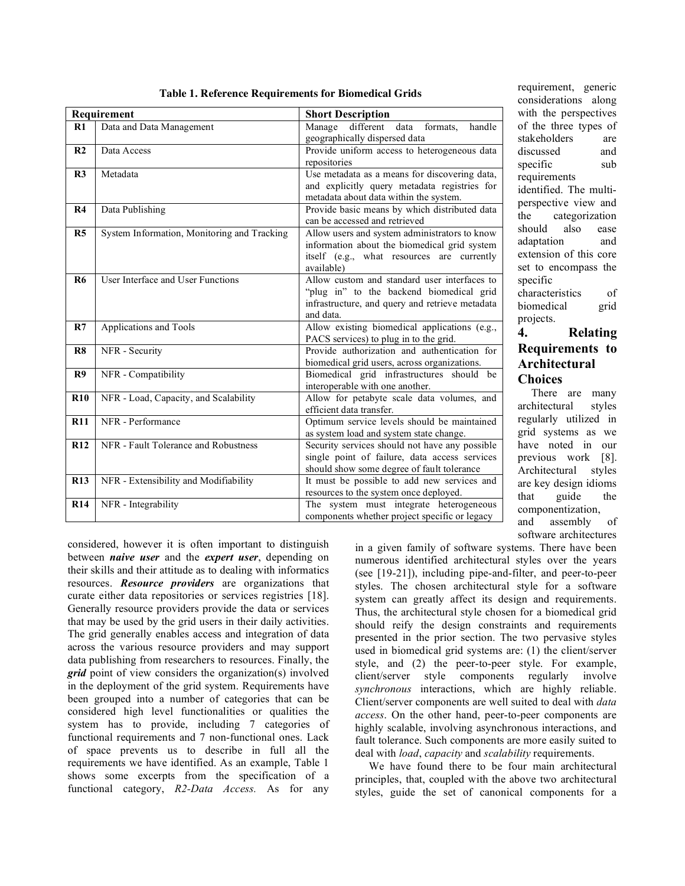|                | Requirement                                 | <b>Short Description</b>                                                                                                                                  |  |  |  |  |
|----------------|---------------------------------------------|-----------------------------------------------------------------------------------------------------------------------------------------------------------|--|--|--|--|
| R1             | Data and Data Management                    | Manage<br>different data<br>handle<br>formats,<br>geographically dispersed data                                                                           |  |  |  |  |
| R <sub>2</sub> | Data Access                                 | Provide uniform access to heterogeneous data<br>repositories                                                                                              |  |  |  |  |
| R <sub>3</sub> | Metadata                                    | Use metadata as a means for discovering data,<br>and explicitly query metadata registries for<br>metadata about data within the system.                   |  |  |  |  |
| R4             | Data Publishing                             | Provide basic means by which distributed data<br>can be accessed and retrieved                                                                            |  |  |  |  |
| R <sub>5</sub> | System Information, Monitoring and Tracking | Allow users and system administrators to know<br>information about the biomedical grid system<br>itself (e.g., what resources are currently<br>available) |  |  |  |  |
| <b>R6</b>      | User Interface and User Functions           | Allow custom and standard user interfaces to<br>"plug in" to the backend biomedical grid<br>infrastructure, and query and retrieve metadata<br>and data.  |  |  |  |  |
| R7             | Applications and Tools                      | Allow existing biomedical applications (e.g.,<br>PACS services) to plug in to the grid.                                                                   |  |  |  |  |
| R8             | NFR - Security                              | Provide authorization and authentication for<br>biomedical grid users, across organizations.                                                              |  |  |  |  |
| R <sub>9</sub> | NFR - Compatibility                         | Biomedical grid infrastructures should be<br>interoperable with one another.                                                                              |  |  |  |  |
| $\mathbf{R}10$ | NFR - Load, Capacity, and Scalability       | Allow for petabyte scale data volumes, and<br>efficient data transfer.                                                                                    |  |  |  |  |
| <b>R11</b>     | NFR - Performance                           | Optimum service levels should be maintained<br>as system load and system state change.                                                                    |  |  |  |  |
| R12            | NFR - Fault Tolerance and Robustness        | Security services should not have any possible<br>single point of failure, data access services<br>should show some degree of fault tolerance             |  |  |  |  |
| <b>R13</b>     | NFR - Extensibility and Modifiability       | It must be possible to add new services and<br>resources to the system once deployed.                                                                     |  |  |  |  |
| R14            | NFR - Integrability                         | The system must integrate heterogeneous<br>components whether project specific or legacy                                                                  |  |  |  |  |

**Table 1. Reference Requirements for Biomedical Grids**

considered, however it is often important to distinguish between *naive user* and the *expert user*, depending on their skills and their attitude as to dealing with informatics resources. *Resource providers* are organizations that curate either data repositories or services registries [18]. Generally resource providers provide the data or services that may be used by the grid users in their daily activities. The grid generally enables access and integration of data across the various resource providers and may support data publishing from researchers to resources. Finally, the *grid* point of view considers the organization(s) involved in the deployment of the grid system. Requirements have been grouped into a number of categories that can be considered high level functionalities or qualities the system has to provide, including 7 categories of functional requirements and 7 non-functional ones. Lack of space prevents us to describe in full all the requirements we have identified. As an example, Table 1 shows some excerpts from the specification of a functional category, *R2-Data Access.* As for any

in a given family of software systems. There have been numerous identified architectural styles over the years (see [19-21]), including pipe-and-filter, and peer-to-peer styles. The chosen architectural style for a software system can greatly affect its design and requirements. Thus, the architectural style chosen for a biomedical grid should reify the design constraints and requirements presented in the prior section. The two pervasive styles used in biomedical grid systems are: (1) the client/server style, and (2) the peer-to-peer style. For example, client/server style components regularly involve *synchronous* interactions, which are highly reliable. Client/server components are well suited to deal with *data access*. On the other hand, peer-to-peer components are highly scalable, involving asynchronous interactions, and fault tolerance. Such components are more easily suited to deal with *load*, *capacity* and *scalability* requirements.

requirement, generic considerations along with the perspectives of the three types of stakeholders are discussed and specific sub

identified. The multiperspective view and the categorization should also ease adaptation and extension of this core set to encompass the

characteristics of biomedical grid

**4. Relating Requirements to Architectural Choices**

There are many architectural styles regularly utilized in grid systems as we have noted in our previous work [8]. Architectural styles are key design idioms that guide the componentization, and assembly of software architectures

requirements

specific

projects.

We have found there to be four main architectural principles, that, coupled with the above two architectural styles, guide the set of canonical components for a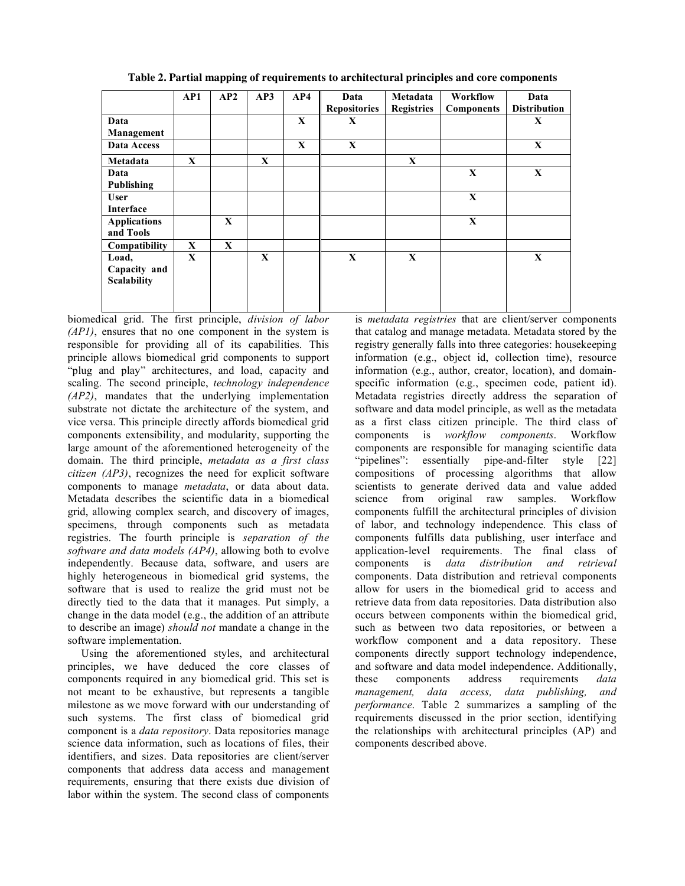|                     | AP1          | AP2          | AP3 | AP4 | Data                | Metadata          | Workflow          | Data                |
|---------------------|--------------|--------------|-----|-----|---------------------|-------------------|-------------------|---------------------|
|                     |              |              |     |     | <b>Repositories</b> | <b>Registries</b> | <b>Components</b> | <b>Distribution</b> |
| Data                |              |              |     | X   | X                   |                   |                   | $\mathbf{X}$        |
| Management          |              |              |     |     |                     |                   |                   |                     |
| <b>Data Access</b>  |              |              |     | X   | X                   |                   |                   | X                   |
| Metadata            | X            |              | X   |     |                     | X                 |                   |                     |
| Data                |              |              |     |     |                     |                   | $\mathbf{X}$      | $\mathbf{X}$        |
| <b>Publishing</b>   |              |              |     |     |                     |                   |                   |                     |
| <b>User</b>         |              |              |     |     |                     |                   | $\mathbf{X}$      |                     |
| Interface           |              |              |     |     |                     |                   |                   |                     |
| <b>Applications</b> |              | $\mathbf{X}$ |     |     |                     |                   | $\mathbf{X}$      |                     |
| and Tools           |              |              |     |     |                     |                   |                   |                     |
| Compatibility       | X            | X            |     |     |                     |                   |                   |                     |
| Load,               | $\mathbf{X}$ |              | X   |     | X                   | X                 |                   | X                   |
| Capacity and        |              |              |     |     |                     |                   |                   |                     |
| <b>Scalability</b>  |              |              |     |     |                     |                   |                   |                     |
|                     |              |              |     |     |                     |                   |                   |                     |
|                     |              |              |     |     |                     |                   |                   |                     |

**Table 2. Partial mapping of requirements to architectural principles and core components**

biomedical grid. The first principle, *division of labor (AP1)*, ensures that no one component in the system is responsible for providing all of its capabilities. This principle allows biomedical grid components to support "plug and play" architectures, and load, capacity and scaling. The second principle, *technology independence (AP2)*, mandates that the underlying implementation substrate not dictate the architecture of the system, and vice versa. This principle directly affords biomedical grid components extensibility, and modularity, supporting the large amount of the aforementioned heterogeneity of the domain. The third principle, *metadata as a first class citizen (AP3)*, recognizes the need for explicit software components to manage *metadata*, or data about data. Metadata describes the scientific data in a biomedical grid, allowing complex search, and discovery of images, specimens, through components such as metadata registries. The fourth principle is *separation of the software and data models (AP4)*, allowing both to evolve independently. Because data, software, and users are highly heterogeneous in biomedical grid systems, the software that is used to realize the grid must not be directly tied to the data that it manages. Put simply, a change in the data model (e.g., the addition of an attribute to describe an image) *should not* mandate a change in the software implementation.

Using the aforementioned styles, and architectural principles, we have deduced the core classes of components required in any biomedical grid. This set is not meant to be exhaustive, but represents a tangible milestone as we move forward with our understanding of such systems. The first class of biomedical grid component is a *data repository*. Data repositories manage science data information, such as locations of files, their identifiers, and sizes. Data repositories are client/server components that address data access and management requirements, ensuring that there exists due division of labor within the system. The second class of components

is *metadata registries* that are client/server components that catalog and manage metadata. Metadata stored by the registry generally falls into three categories: housekeeping information (e.g., object id, collection time), resource information (e.g., author, creator, location), and domainspecific information (e.g., specimen code, patient id). Metadata registries directly address the separation of software and data model principle, as well as the metadata as a first class citizen principle. The third class of components is *workflow components*. Workflow components are responsible for managing scientific data "pipelines": essentially pipe-and-filter style [22] compositions of processing algorithms that allow scientists to generate derived data and value added science from original raw samples. Workflow components fulfill the architectural principles of division of labor, and technology independence. This class of components fulfills data publishing, user interface and application-level requirements. The final class of components is *data distribution and retrieval* components. Data distribution and retrieval components allow for users in the biomedical grid to access and retrieve data from data repositories. Data distribution also occurs between components within the biomedical grid, such as between two data repositories, or between a workflow component and a data repository. These components directly support technology independence, and software and data model independence. Additionally, these components address requirements *data management, data access, data publishing, and performance*. Table 2 summarizes a sampling of the requirements discussed in the prior section, identifying the relationships with architectural principles (AP) and components described above.